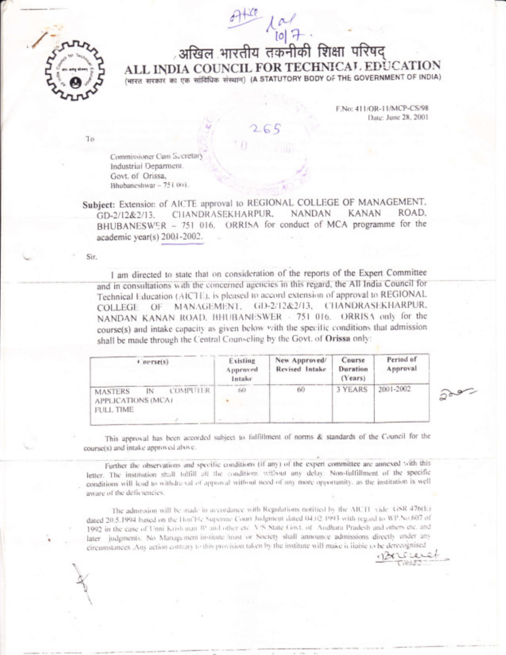

,अखिल भारतीय तकनीकी शिक्षा परिषद ALL INDIA COUNCIL FOR TECHNICAL EDUCATION (भारत सरकार का एक सांविधिक संस्थान) (A STATUTORY BODY OF THE GOVERNMENT OF INDIA)

> F.No: 411/OR-11/MCP-CS/98 Date: June 28, 2001

> > $500 -$

Cikid2

To

Commissioner Cum Secretary Industrial Deparment. Govt. of Orissa, Bhubaneshwar - 751 001.

Subject: Extension of AICTE approval to REGIONAL COLLEGE OF MANAGEMENT. CHANDRASEKHARPUR. **NANDAN KANAN** ROAD. GD-2/12&2/13. BHUBANESWER - 751 016. ORRISA for conduct of MCA programme for the academic year(s) 2001-2002.

Sir.

I am directed to state that on consideration of the reports of the Expert Committee and in consultations with the concerned agencies in this regard, the All India Council for Technical Education (AICTE), is pleased to accord extension of approval to REGIONAL MANAGEMENT, GD-2/12&2/13, CHANDRASEKHARPUR, COLLEGE OF. NANDAN KANAN ROAD, BHUBANESWER - 751 016. ORRISA only for the course(s) and intake capacity as given below with the specific conditions that admission shall be made through the Central Counseling by the Govt. of Orissa only:

| (nerse(s)                                                                  | Existing<br>Approved<br>Intake | New Approved/<br>Revised Intake | Course<br>Duration<br>(Years) | Period of<br>Approval |
|----------------------------------------------------------------------------|--------------------------------|---------------------------------|-------------------------------|-----------------------|
| COMPUTER<br><b>MASTERS</b><br>IN<br>APPLICATIONS (MCA)<br><b>FULL TIME</b> | 601                            | 60                              | 3 YEARS                       | 2001-2002             |

This approval has been accorded subject to fulfillment of norms & standards of the Council for the course(s) and intake approved above.

Further the observations and specific conditions (if any) of the expert committee are annexed with this letter. The institution shall fulfill all the conditions without any delay: Non-fulfillment of the specific conditions will lead to withdra val of approval without need of any more opportunity, as the institution is well aware of the deficiencies.

The admission will be made in accordance with Regulations notified by the AICTI vide. GSR 476(E) dated 20.5.1994 based on the Hoa'ble Superine Court Judgment dated 04.02.1993 with regard to WP.No.607 of 1992 in the case of Unni Krish man IP and other etc. V/S State Govt. of Andhara Pradesh and others etc. and later judgments. No Managyment institute irrust or Society shall announce admissions directly under any circumstances. Any action contrary to this provision taken by the institute will make it liable to be derecognised  $120$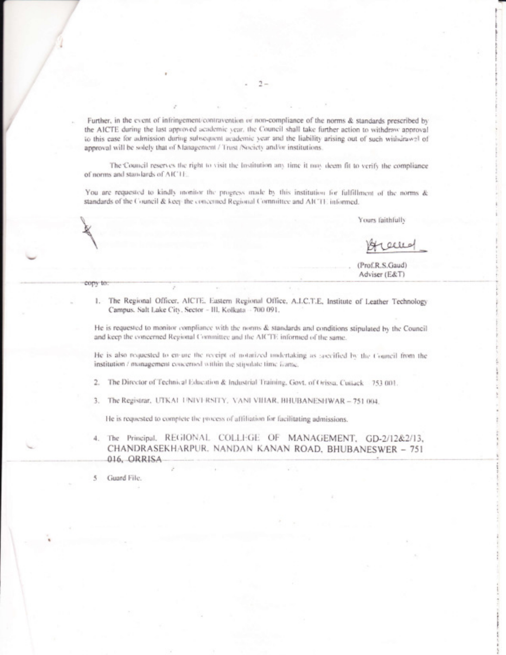Further, in the event of infringement/contravention or non-compliance of the norms & standards prescribed by the AICTE during the last approved academic year, the Council shall take further action to withdraw approval to this case for admission during subsequent academic year and the liability arising out of such withdrawal of approval will be solely that of Management / Trust /Society and/or institutions.

The Council reserves the right to visit the Institution any time it may deem fit to verify the compliance of norms and standards of AICTE.

You are requested to kindly monitor the progress made by this institution for fulfillment of the norms & standards of the Council & keep the concerned Regional Committee and AICTE informed.

Yours faithfully

alle

(Prof.R.S.Gaud) Adviser (E&T)

copy to:

1. The Regional Officer, AICTE, Eastern Regional Office, A.I.C.T.E, Institute of Leather Technology Campus. Salt Lake City, Sector - III, Kolkata - 700 091,

He is requested to monitor compliance with the norms & standards and conditions stipulated by the Council and keep the concerned Regional Committee and the AICTE informed of the same.

He is also requested to en-ure the receipt of notarized undertaking as soccified by the Council from the institution / management concerned within the stipulate time frame.

2. The Director of Technical Education & Industrial Training, Govt. of Orissa, Cuitack 753 001.

3. The Registrar, UTKAI UNIVERSITY, VANI VIHAR, BHUBANESHWAR - 751 004.

He is requested to complete the process of affiliation for facilitating admissions.

4. The Principal, REGIONAL COLLEGE OF MANAGEMENT, GD-2/12&2/13, CHANDRASEKHARPUR. NANDAN KANAN ROAD, BHUBANESWER - 751 016, ORRISA

Guard File.

5

2.